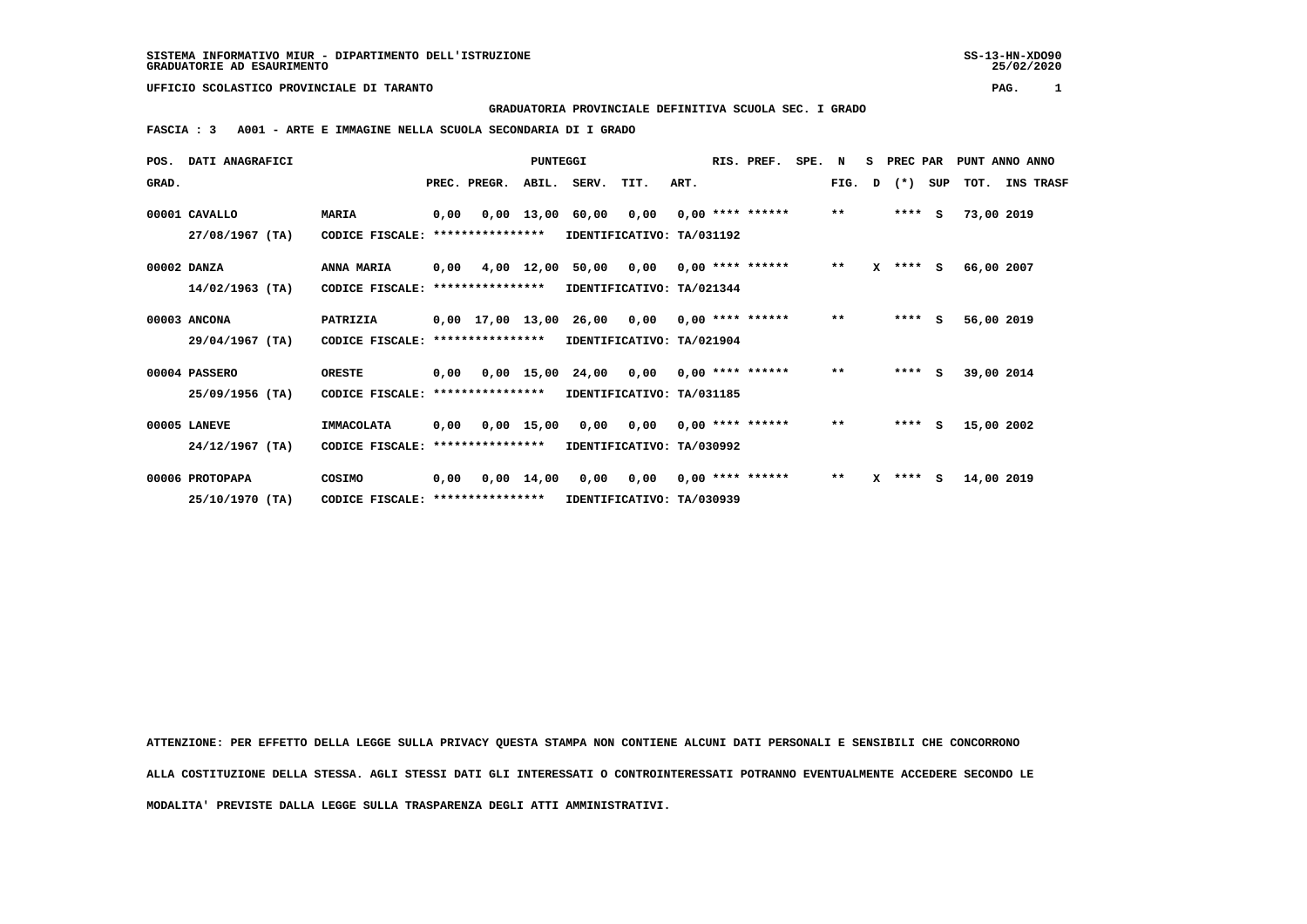**UFFICIO SCOLASTICO PROVINCIALE DI TARANTO PAG. 1**

 **GRADUATORIA PROVINCIALE DEFINITIVA SCUOLA SEC. I GRADO**

 **FASCIA : 3 A001 - ARTE E IMMAGINE NELLA SCUOLA SECONDARIA DI I GRADO**

|       | POS. DATI ANAGRAFICI |                                   | PUNTEGGI |                  |              |                                                | RIS. PREF.                 | SPE. N |  |                    | S PREC PAR |              | PUNT ANNO ANNO |              |     |            |  |           |
|-------|----------------------|-----------------------------------|----------|------------------|--------------|------------------------------------------------|----------------------------|--------|--|--------------------|------------|--------------|----------------|--------------|-----|------------|--|-----------|
| GRAD. |                      |                                   |          | PREC. PREGR.     |              | ABIL. SERV.                                    | TIT.                       | ART.   |  |                    |            | FIG.         | D              | $(\star)$    | SUP | тот.       |  | INS TRASF |
|       | 00001 CAVALLO        | <b>MARIA</b>                      | 0,00     |                  | $0,00$ 13,00 | 60,00                                          | 0,00                       |        |  | $0.00$ **** ****** |            | $**$         |                | $***$ S      |     | 73,00 2019 |  |           |
|       | 27/08/1967 (TA)      | CODICE FISCALE:                   |          | **************** |              |                                                | IDENTIFICATIVO: TA/031192  |        |  |                    |            |              |                |              |     |            |  |           |
|       | 00002 DANZA          | ANNA MARIA                        | 0,00     |                  |              | 4,00 12,00 50,00 0,00 0,00 **** ******         |                            |        |  |                    |            | $***$        |                | $X$ **** $S$ |     | 66,00 2007 |  |           |
|       | $14/02/1963$ (TA)    | CODICE FISCALE:                   |          | **************** |              |                                                | IDENTIFICATIVO: TA/021344  |        |  |                    |            |              |                |              |     |            |  |           |
|       | 00003 ANCONA         | PATRIZIA                          |          |                  |              | $0,00$ 17,00 13,00 26,00 0,00 0,00 **** ****** |                            |        |  |                    |            | $***$        |                | $***$ S      |     | 56,00 2019 |  |           |
|       | 29/04/1967 (TA)      | CODICE FISCALE: ****************  |          |                  |              | IDENTIFICATIVO: TA/021904                      |                            |        |  |                    |            |              |                |              |     |            |  |           |
|       | 00004 PASSERO        | <b>ORESTE</b>                     | 0,00     |                  |              | 0,00 15,00 24,00 0,00                          |                            |        |  | $0.00$ **** ****** |            | $***$        |                | $***$ S      |     | 39,00 2014 |  |           |
|       | 25/09/1956 (TA)      | CODICE FISCALE:                   |          | **************** |              |                                                | IDENTIFICATIVO: TA/031185  |        |  |                    |            |              |                |              |     |            |  |           |
|       | 00005 LANEVE         | IMMACOLATA                        | 0,00     |                  | 0,00 15,00   |                                                | 0,00 0,00 0,00 **** ****** |        |  |                    |            | $***$        |                | $***$ S      |     | 15,00 2002 |  |           |
|       | $24/12/1967$ (TA)    | CODICE FISCALE: ***************** |          |                  |              |                                                | IDENTIFICATIVO: TA/030992  |        |  |                    |            |              |                |              |     |            |  |           |
|       | 00006 PROTOPAPA      | COSIMO                            | 0.00     |                  | $0,00$ 14,00 | 0,00                                           | 0,00                       |        |  | $0,00$ **** ****** |            | $\star\star$ |                | $X$ **** $S$ |     | 14,00 2019 |  |           |
|       | 25/10/1970 (TA)      | CODICE FISCALE: ****************  |          |                  |              |                                                | IDENTIFICATIVO: TA/030939  |        |  |                    |            |              |                |              |     |            |  |           |

 **ATTENZIONE: PER EFFETTO DELLA LEGGE SULLA PRIVACY QUESTA STAMPA NON CONTIENE ALCUNI DATI PERSONALI E SENSIBILI CHE CONCORRONO ALLA COSTITUZIONE DELLA STESSA. AGLI STESSI DATI GLI INTERESSATI O CONTROINTERESSATI POTRANNO EVENTUALMENTE ACCEDERE SECONDO LE MODALITA' PREVISTE DALLA LEGGE SULLA TRASPARENZA DEGLI ATTI AMMINISTRATIVI.**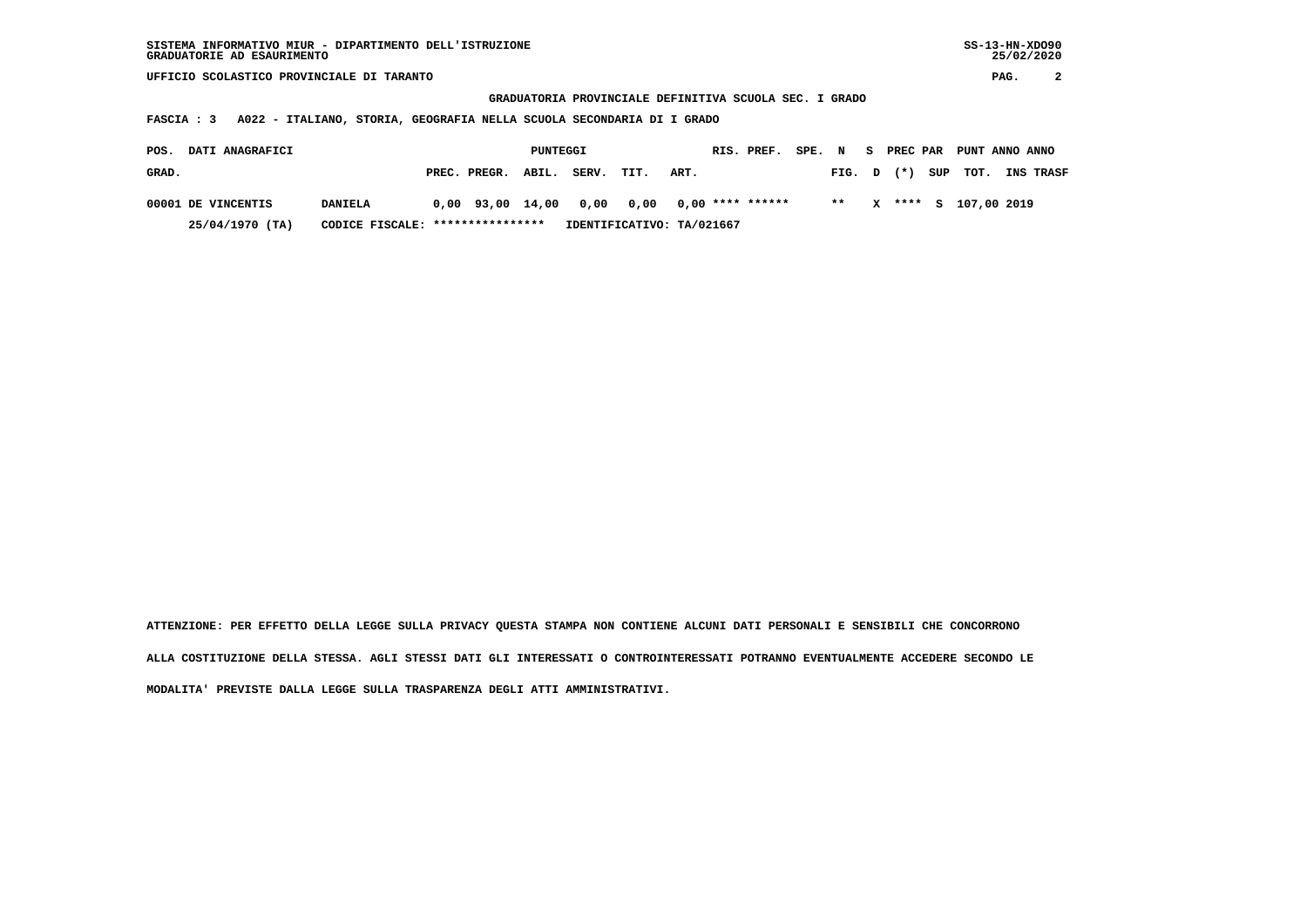| SISTEMA INFORMATIVO MIUR - DIPARTIMENTO DELL'ISTRUZIONE | $SS-13-HN-XDO90$ |
|---------------------------------------------------------|------------------|
| GRADUATORIE AD ESAURIMENTO                              | 25/02/2020       |

**SS-13-HN-XDO90**  $25/02/2020$ 

 **UFFICIO SCOLASTICO PROVINCIALE DI TARANTO PAG. 2**

 **GRADUATORIA PROVINCIALE DEFINITIVA SCUOLA SEC. I GRADO**

 **FASCIA : 3 A022 - ITALIANO, STORIA, GEOGRAFIA NELLA SCUOLA SECONDARIA DI I GRADO**

| <b>DATI ANAGRAFICI</b><br>POS. |                | PUNTEGGI                         |                    |  |       |                                               |      | RIS. PREF. | SPE. N |  |        | S PREC PAR PUNT ANNO ANNO |                      |                  |
|--------------------------------|----------------|----------------------------------|--------------------|--|-------|-----------------------------------------------|------|------------|--------|--|--------|---------------------------|----------------------|------------------|
| GRAD.                          |                |                                  | PREC. PREGR. ABIL. |  | SERV. | TIT.                                          | ART. |            |        |  | FIG. D |                           | $(\star)$ SUP TOT.   | <b>INS TRASF</b> |
| 00001 DE VINCENTIS             | <b>DANIELA</b> |                                  |                    |  |       | $0.00$ 93.00 14.00 0.00 0.00 0.00 **** ****** |      |            |        |  | $***$  |                           | X **** S 107,00 2019 |                  |
| 25/04/1970 (TA)                |                | CODICE FISCALE: **************** |                    |  |       | IDENTIFICATIVO: TA/021667                     |      |            |        |  |        |                           |                      |                  |

 **ATTENZIONE: PER EFFETTO DELLA LEGGE SULLA PRIVACY QUESTA STAMPA NON CONTIENE ALCUNI DATI PERSONALI E SENSIBILI CHE CONCORRONO ALLA COSTITUZIONE DELLA STESSA. AGLI STESSI DATI GLI INTERESSATI O CONTROINTERESSATI POTRANNO EVENTUALMENTE ACCEDERE SECONDO LE MODALITA' PREVISTE DALLA LEGGE SULLA TRASPARENZA DEGLI ATTI AMMINISTRATIVI.**